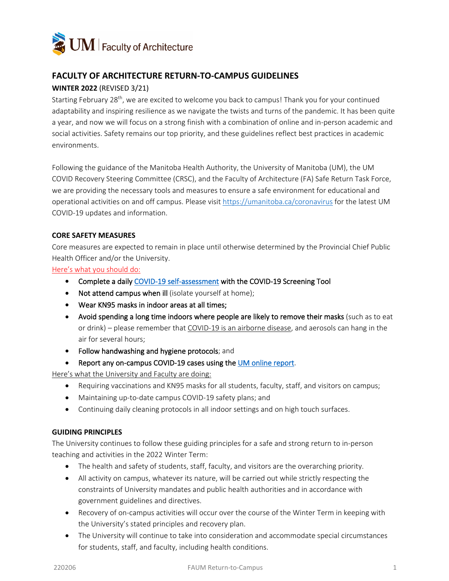

# **FACULTY OF ARCHITECTURE RETURN-TO-CAMPUS GUIDELINES**

### **WINTER 2022** (REVISED 3/21)

Starting February 28<sup>th</sup>, we are excited to welcome you back to campus! Thank you for your continued adaptability and inspiring resilience as we navigate the twists and turns of the pandemic. It has been quite a year, and now we will focus on a strong finish with a combination of online and in-person academic and social activities. Safety remains our top priority, and these guidelines reflect best practices in academic environments.

Following the guidance of the Manitoba Health Authority, the University of Manitoba (UM), the UM COVID Recovery Steering Committee (CRSC), and the Faculty of Architecture (FA) Safe Return Task Force, we are providing the necessary tools and measures to ensure a safe environment for educational and operational activities on and off campus. Please visit<https://umanitoba.ca/coronavirus> for the latest UM COVID-19 updates and information.

### **CORE SAFETY MEASURES**

Core measures are expected to remain in place until otherwise determined by the Provincial Chief Public Health Officer and/or the University.

Here's what you should do:

- Complete a daily [COVID-19 self-assessment](https://sharedhealthmb.ca/covid19/screening-tool/) with the COVID-19 Screening Tool
- Not attend campus when ill (isolate yourself at home);
- Wear KN95 masks in indoor areas at all times;
- Avoid spending a long time indoors where people are likely to remove their masks (such as to eat or drink) – please remember that COVID-19 is an airborne disease, and aerosols can hang in the air for several hours;
- Follow handwashing and hygiene protocols; and
- Report any on-campus COVID-19 cases using the [UM online report.](https://umanitoba.ca/covid-19/case-reporting)

Here's what the University and Faculty are doing:

- Requiring vaccinations and KN95 masks for all students, faculty, staff, and visitors on campus;
- Maintaining up-to-date campus COVID-19 safety plans; and
- Continuing daily cleaning protocols in all indoor settings and on high touch surfaces.

### **GUIDING PRINCIPLES**

The University continues to follow these guiding principles for a safe and strong return to in-person teaching and activities in the 2022 Winter Term:

- The health and safety of students, staff, faculty, and visitors are the overarching priority.
- All activity on campus, whatever its nature, will be carried out while strictly respecting the constraints of University mandates and public health authorities and in accordance with government guidelines and directives.
- Recovery of on-campus activities will occur over the course of the Winter Term in keeping with the University's stated principles and recovery plan.
- The University will continue to take into consideration and accommodate special circumstances for students, staff, and faculty, including health conditions.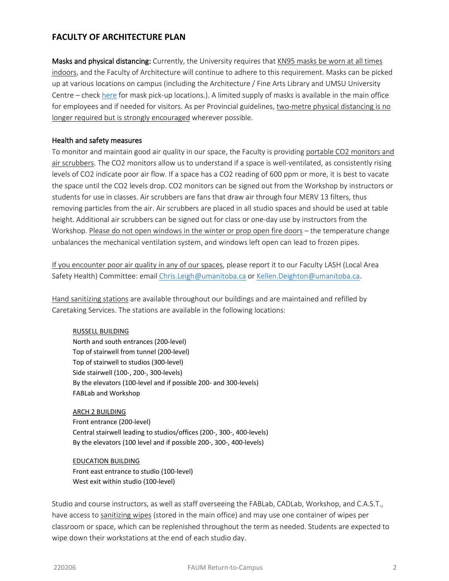## **FACULTY OF ARCHITECTURE PLAN**

Masks and physical distancing: Currently, the University requires that KN95 masks be worn at all times indoors, and the Faculty of Architecture will continue to adhere to this requirement. Masks can be picked up at various locations on campus (including the Architecture / Fine Arts Library and UMSU University Centre – check [here](https://umanitoba.ca/covid-19/health-safety) for mask pick-up locations.). A limited supply of masks is available in the main office for employees and if needed for visitors. As per Provincial guidelines, two-metre physical distancing is no longer required but is strongly encouraged wherever possible.

### Health and safety measures

To monitor and maintain good air quality in our space, the Faculty is providing portable CO2 monitors and air scrubbers. The CO2 monitors allow us to understand if a space is well-ventilated, as consistently rising levels of CO2 indicate poor air flow. If a space has a CO2 reading of 600 ppm or more, it is best to vacate the space until the CO2 levels drop. CO2 monitors can be signed out from the Workshop by instructors or students for use in classes. Air scrubbers are fans that draw air through four MERV 13 filters, thus removing particles from the air. Air scrubbers are placed in all studio spaces and should be used at table height. Additional air scrubbers can be signed out for class or one-day use by instructors from the Workshop. Please do not open windows in the winter or prop open fire doors – the temperature change unbalances the mechanical ventilation system, and windows left open can lead to frozen pipes.

If you encounter poor air quality in any of our spaces, please report it to our Faculty LASH (Local Area Safety Health) Committee: email [Chris.Leigh@umanitoba.ca](mailto:Chris.Leigh@umanitoba.ca) or [Kellen.Deighton@umanitoba.ca.](mailto:Kellen.Deighton@umanitoba.ca)

Hand sanitizing stations are available throughout our buildings and are maintained and refilled by Caretaking Services. The stations are available in the following locations:

#### RUSSELL BUILDING

North and south entrances (200-level) Top of stairwell from tunnel (200-level) Top of stairwell to studios (300-level) Side stairwell (100-, 200-, 300-levels) By the elevators (100-level and if possible 200- and 300-levels) FABLab and Workshop

ARCH 2 BUILDING Front entrance (200-level) Central stairwell leading to studios/offices (200-, 300-, 400-levels) By the elevators (100 level and if possible 200-, 300-, 400-levels)

EDUCATION BUILDING Front east entrance to studio (100-level) West exit within studio (100-level)

Studio and course instructors, as well as staff overseeing the FABLab, CADLab, Workshop, and C.A.S.T., have access to sanitizing wipes (stored in the main office) and may use one container of wipes per classroom or space, which can be replenished throughout the term as needed. Students are expected to wipe down their workstations at the end of each studio day.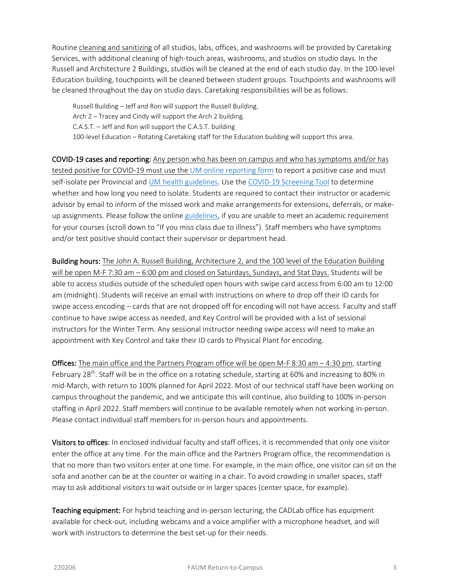Routine cleaning and sanitizing of all studios, labs, offices, and washrooms will be provided by Caretaking Services, with additional cleaning of high-touch areas, washrooms, and studios on studio days. In the Russell and Architecture 2 Buildings, studios will be cleaned at the end of each studio day. In the 100-level Education building, touchpoints will be cleaned between student groups. Touchpoints and washrooms will be cleaned throughout the day on studio days. Caretaking responsibilities will be as follows:

Russell Building – Jeff and Ron will support the Russell Building. Arch 2 – Tracey and Cindy will support the Arch 2 building. C.A.S.T. – Jeff and Ron will support the C.A.S.T. building 100-level Education – Rotating Caretaking staff for the Education building will support this area.

COVID-19 cases and reporting: Any person who has been on campus and who has symptoms and/or has tested positive for COVID-19 must use the [UM online reporting form](https://umanitoba.ca/covid-19/case-reporting) to report a positive case and must self-isolate per Provincial and [UM health guidelines.](https://umanitoba.ca/covid-19/health-safety#testing-and-illness) Use th[e COVID-19 Screening Tool](https://sharedhealthmb.ca/covid19/screening-tool/) to determine whether and how long you need to isolate. Students are required to contact their instructor or academic advisor by email to inform of the missed work and make arrangements for extensions, deferrals, or makeup assignments. Please follow the online [guidelines,](https://umanitoba.ca/covid-19/students) if you are unable to meet an academic requirement for your courses (scroll down to "If you miss class due to illness"). Staff members who have symptoms and/or test positive should contact their supervisor or department head.

Building hours: The John A. Russell Building, Architecture 2, and the 100 level of the Education Building will be open M-F 7:30 am – 6:00 pm and closed on Saturdays, Sundays, and Stat Days. Students will be able to access studios outside of the scheduled open hours with swipe card access from 6:00 am to 12:00 am (midnight). Students will receive an email with instructions on where to drop off their ID cards for swipe access encoding – cards that are not dropped off for encoding will not have access. Faculty and staff continue to have swipe access as needed, and Key Control will be provided with a list of sessional instructors for the Winter Term. Any sessional instructor needing swipe access will need to make an appointment with Key Control and take their ID cards to Physical Plant for encoding.

Offices: The main office and the Partners Program office will be open M-F 8:30 am - 4:30 pm, starting February 28<sup>th</sup>. Staff will be in the office on a rotating schedule, starting at 60% and increasing to 80% in mid-March, with return to 100% planned for April 2022. Most of our technical staff have been working on campus throughout the pandemic, and we anticipate this will continue, also building to 100% in-person staffing in April 2022. Staff members will continue to be available remotely when not working in-person. Please contact individual staff members for in-person hours and appointments.

Visitors to offices: In enclosed individual faculty and staff offices, it is recommended that only one visitor enter the office at any time. For the main office and the Partners Program office, the recommendation is that no more than two visitors enter at one time. For example, in the main office, one visitor can sit on the sofa and another can be at the counter or waiting in a chair. To avoid crowding in smaller spaces, staff may to ask additional visitors to wait outside or in larger spaces (center space, for example).

Teaching equipment: For hybrid teaching and in-person lecturing, the CADLab office has equipment available for check-out, including webcams and a voice amplifier with a microphone headset, and will work with instructors to determine the best set-up for their needs.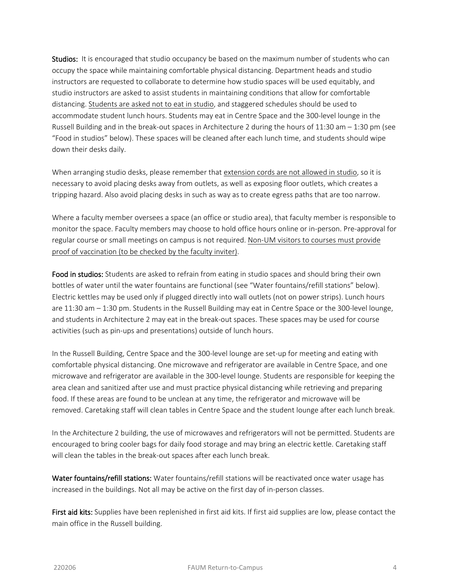Studios: It is encouraged that studio occupancy be based on the maximum number of students who can occupy the space while maintaining comfortable physical distancing. Department heads and studio instructors are requested to collaborate to determine how studio spaces will be used equitably, and studio instructors are asked to assist students in maintaining conditions that allow for comfortable distancing. Students are asked not to eat in studio, and staggered schedules should be used to accommodate student lunch hours. Students may eat in Centre Space and the 300-level lounge in the Russell Building and in the break-out spaces in Architecture 2 during the hours of 11:30 am – 1:30 pm (see "Food in studios" below). These spaces will be cleaned after each lunch time, and students should wipe down their desks daily.

When arranging studio desks, please remember that extension cords are not allowed in studio, so it is necessary to avoid placing desks away from outlets, as well as exposing floor outlets, which creates a tripping hazard. Also avoid placing desks in such as way as to create egress paths that are too narrow.

Where a faculty member oversees a space (an office or studio area), that faculty member is responsible to monitor the space. Faculty members may choose to hold office hours online or in-person. Pre-approval for regular course or small meetings on campus is not required. Non-UM visitors to courses must provide proof of vaccination (to be checked by the faculty inviter).

Food in studios: Students are asked to refrain from eating in studio spaces and should bring their own bottles of water until the water fountains are functional (see "Water fountains/refill stations" below). Electric kettles may be used only if plugged directly into wall outlets (not on power strips). Lunch hours are 11:30 am – 1:30 pm. Students in the Russell Building may eat in Centre Space or the 300-level lounge, and students in Architecture 2 may eat in the break-out spaces. These spaces may be used for course activities (such as pin-ups and presentations) outside of lunch hours.

In the Russell Building, Centre Space and the 300-level lounge are set-up for meeting and eating with comfortable physical distancing. One microwave and refrigerator are available in Centre Space, and one microwave and refrigerator are available in the 300-level lounge. Students are responsible for keeping the area clean and sanitized after use and must practice physical distancing while retrieving and preparing food. If these areas are found to be unclean at any time, the refrigerator and microwave will be removed. Caretaking staff will clean tables in Centre Space and the student lounge after each lunch break.

In the Architecture 2 building, the use of microwaves and refrigerators will not be permitted. Students are encouraged to bring cooler bags for daily food storage and may bring an electric kettle. Caretaking staff will clean the tables in the break-out spaces after each lunch break.

Water fountains/refill stations: Water fountains/refill stations will be reactivated once water usage has increased in the buildings. Not all may be active on the first day of in-person classes.

First aid kits: Supplies have been replenished in first aid kits. If first aid supplies are low, please contact the main office in the Russell building.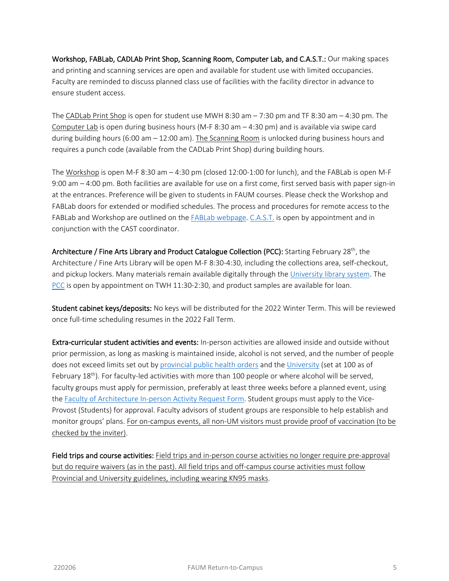Workshop, FABLab, CADLAb Print Shop, Scanning Room, Computer Lab, and C.A.S.T.: Our making spaces and printing and scanning services are open and available for student use with limited occupancies. Faculty are reminded to discuss planned class use of facilities with the facility director in advance to ensure student access.

The CADLab Print Shop is open for student use MWH 8:30 am – 7:30 pm and TF 8:30 am – 4:30 pm. The Computer Lab is open during business hours (M-F 8:30 am  $-$  4:30 pm) and is available via swipe card during building hours (6:00 am – 12:00 am). The Scanning Room is unlocked during business hours and requires a punch code (available from the CADLab Print Shop) during building hours.

The Workshop is open M-F 8:30 am – 4:30 pm (closed 12:00-1:00 for lunch), and the FABLab is open M-F 9:00 am – 4:00 pm. Both facilities are available for use on a first come, first served basis with paper sign-in at the entrances. Preference will be given to students in FAUM courses. Please check the Workshop and FABLab doors for extended or modified schedules. The process and procedures for remote access to the FABLab and Workshop are outlined on th[e FABLab webpage.](https://umanitoba.ca/architecture/fablab) [C.A.S.T.](https://umanitoba.ca/architecture/cast) is open by appointment and in conjunction with the CAST coordinator.

Architecture / Fine Arts Library and Product Catalogue Collection (PCC): Starting February 28<sup>th</sup>, the Architecture / Fine Arts Library will be open M-F 8:30-4:30, including the collections area, self-checkout, and pickup lockers. Many materials remain available digitally through the [University library system.](https://umanitoba.ca/libraries/) The [PCC](https://umanitoba.ca/architecture/product-catalogue-collection) is open by appointment on TWH 11:30-2:30, and product samples are available for loan.

Student cabinet keys/deposits: No keys will be distributed for the 2022 Winter Term. This will be reviewed once full-time scheduling resumes in the 2022 Fall Term.

Extra-curricular student activities and events: In-person activities are allowed inside and outside without prior permission, as long as masking is maintained inside, alcohol is not served, and the number of people does not exceed limits set out b[y provincial public health orders](https://www.gov.mb.ca/covid19/prs/orders/index.html#current) and the [University](https://umanitoba.ca/coronavirus/latest-updates-and-safety) (set at 100 as of February  $18<sup>th</sup>$ ). For faculty-led activities with more than 100 people or where alcohol will be served, faculty groups must apply for permission, preferably at least three weeks before a planned event, using the [Faculty of Architecture In-person](https://umanitoba.ca/architecture/sites/architecture/files/2021-12/fa-in-person-activity-request_2021-22_fillable_2021_12_21.pdf) Activity Request Form. Student groups must apply to the Vice-Provost (Students) for approval. Faculty advisors of student groups are responsible to help establish and monitor groups' plans. For on-campus events, all non-UM visitors must provide proof of vaccination (to be checked by the inviter).

Field trips and course activities: Field trips and in-person course activities no longer require pre-approval but do require waivers (as in the past). All field trips and off-campus course activities must follow Provincial and University guidelines, including wearing KN95 masks.